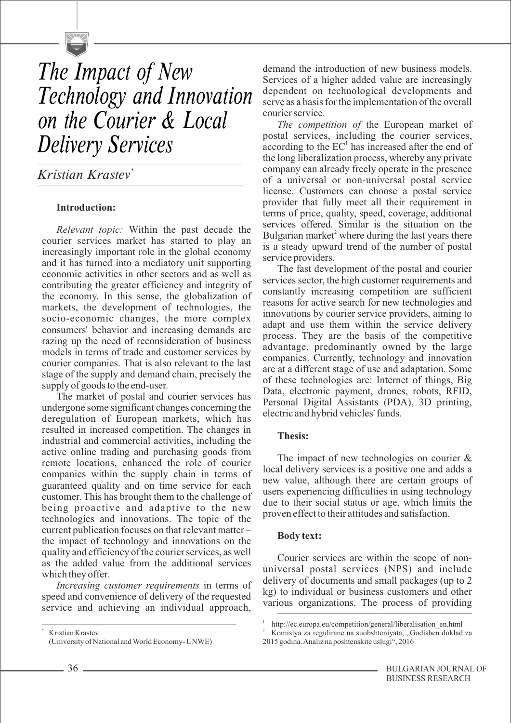

# *The Impact of New Technology and Innovation on the Courier & Local Delivery Services*

*\* Kristian Krastev*

# **Introduction:**

*Relevant topic:* Within the past decade the courier services market has started to play an increasingly important role in the global economy and it has turned into a mediatory unit supporting economic activities in other sectors and as well as contributing the greater efficiency and integrity of the economy. In this sense, the globalization of markets, the development of technologies, the socio-economic changes, the more complex consumers' behavior and increasing demands are razing up the need of reconsideration of business models in terms of trade and customer services by courier companies. That is also relevant to the last stage of the supply and demand chain, precisely the supply of goods to the end-user.

The market of postal and courier services has undergone some significant changes concerning the deregulation of European markets, which has resulted in increased competition. The changes in industrial and commercial activities, including the active online trading and purchasing goods from remote locations, enhanced the role of courier companies within the supply chain in terms of guaranteed quality and on time service for each customer. This has brought them to the challenge of being proactive and adaptive to the new technologies and innovations. The topic of the current publication focuses on that relevant matter – the impact of technology and innovations on the quality and efficiency of the courier services, as well as the added value from the additional services which they offer.

*Increasing customer requirements* in terms of speed and convenience of delivery of the requested service and achieving an individual approach,

 Kristian Krastev (University of National and World Economy- UNWE)

demand the introduction of new business models. Services of a higher added value are increasingly dependent on technological developments and serve as a basis for the implementation of the overall courier service.

*The competition of* the European market of postal services, including the courier services, according to the  $EC<sup>1</sup>$  has increased after the end of the long liberalization process, whereby any private company can already freely operate in the presence of a universal or non-universal postal service license. Customers can choose a postal service provider that fully meet all their requirement in terms of price, quality, speed, coverage, additional services offered. Similar is the situation on the Bulgarian market<sup>2</sup> where during the last years there is a steady upward trend of the number of postal service providers.

The fast development of the postal and courier services sector, the high customer requirements and constantly increasing competition are sufficient reasons for active search for new technologies and innovations by courier service providers, aiming to adapt and use them within the service delivery process. They are the basis of the competitive advantage, predominantly owned by the large companies. Currently, technology and innovation are at a different stage of use and adaptation. Some of these technologies are: Internet of things, Big Data, electronic payment, drones, robots, RFID, Personal Digital Assistants (PDA), 3D printing, electric and hybrid vehicles' funds.

# **Thesis:**

The impact of new technologies on courier & local delivery services is a positive one and adds a new value, although there are certain groups of users experiencing difficulties in using technology due to their social status or age, which limits the proven effect to their attitudes and satisfaction.

## **Body text:**

Courier services are within the scope of nonuniversal postal services (NPS) and include delivery of documents and small packages (up to 2 kg) to individual or business customers and other various organizations. The process of providing

\*

<sup>1</sup> http://ec.europa.eu/competition/general/liberalisation\_en.html

Komisiya za regulirane na suobshteniyata, "Godishen doklad za 2015 godina. Analiz na poshtenskite uslugi", 2016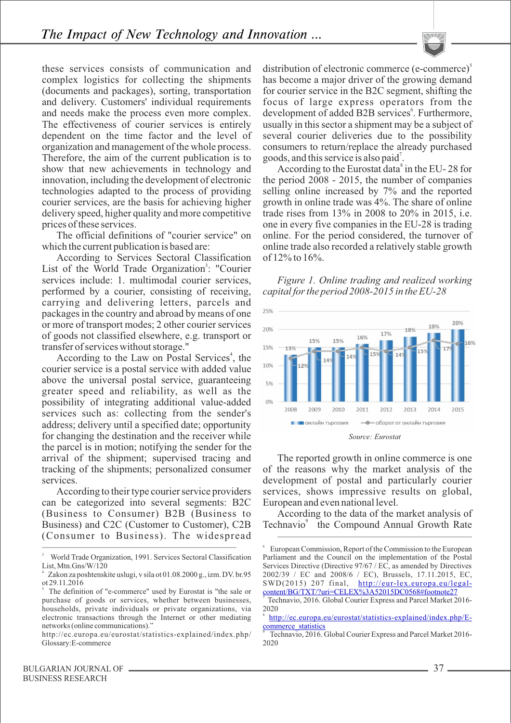these services consists of communication and complex logistics for collecting the shipments (documents and packages), sorting, transportation and delivery. Customers' individual requirements and needs make the process even more complex. The effectiveness of courier services is entirely dependent on the time factor and the level of organization and management of the whole process. Therefore, the aim of the current publication is to show that new achievements in technology and innovation, including the development of electronic technologies adapted to the process of providing courier services, are the basis for achieving higher delivery speed, higher quality and more competitive prices of these services.

The official definitions of "courier service" on which the current publication is based are:

According to Services Sectoral Classification List of the World Trade Organization<sup>3</sup>: "Courier services include: 1. multimodal courier services, performed by a courier, consisting of receiving, carrying and delivering letters, parcels and packages in the country and abroad by means of one or more of transport modes; 2 other courier services of goods not classified elsewhere, e.g. transport or transfer of services without storage."

According to the Law on Postal Services<sup>4</sup>, the courier service is a postal service with added value above the universal postal service, guaranteeing greater speed and reliability, as well as the possibility of integrating additional value-added services such as: collecting from the sender's address; delivery until a specified date; opportunity for changing the destination and the receiver while the parcel is in motion; notifying the sender for the arrival of the shipment; supervised tracing and tracking of the shipments; personalized consumer services.

According to their type courier service providers can be categorized into several segments: B2C (Business to Consumer) B2B (Business to Business) and C2C (Customer to Customer), C2B (Consumer to Business). The widespread

distribution of electronic commerce (e-commerce)<sup>5</sup> has become a major driver of the growing demand for courier service in the B2C segment, shifting the focus of large express operators from the development of added B2B services<sup>6</sup>. Furthermore, usually in this sector a shipment may be a subject of several courier deliveries due to the possibility consumers to return/replace the already purchased goods, and this service is also paid<sup>7</sup>.

According to the Eurostat data $\degree$  in the EU- 28 for the period 2008 - 2015, the number of companies selling online increased by 7% and the reported growth in online trade was 4%. The share of online trade rises from 13% in 2008 to 20% in 2015, i.e. one in every five companies in the EU-28 is trading online. For the period considered, the turnover of online trade also recorded a relatively stable growth of 12% to 16%.

*Figure 1. Online trading and realized working capital for the period 2008-2015 in the EU-28*



The reported growth in online commerce is one of the reasons why the market analysis of the development of postal and particularly courier services, shows impressive results on global, European and even national level.

According to the data of the market analysis of Technavio<sup>9</sup> the Compound Annual Growth Rate

<sup>3</sup> World Trade Organization, 1991. Services Sectoral Classification List, Mtn.Gns/W/120

Zakon za poshtenskite uslugi, v sila ot 01.08.2000 g., izm. DV. br.95 ot 29.11.2016

<sup>5</sup>The definition of "e-commerce" used by Eurostat is "the sale or purchase of goods or services, whether between businesses, households, private individuals or private organizations, via electronic transactions through the Internet or other mediating networks (online communications)."

http://ec.europa.eu/eurostat/statistics-explained/index.php/ Glossary:E-commerce

<sup>6</sup> European Commission, Report of the Commission to the European Parliament and the Council on the implementation of the Postal Services Directive (Directive 97/67 / EC, as amended by Directives 2002/39 / EC and 2008/6 / EC), Brussels, 17.11.2015, EC, SWD(2015) 207 final, [http://eur-lex.europa.eu/legal](http://eur-lex.europa.eu/legal-content/BG/TXT/?uri=CELEX%3A52015DC0568)[content/BG/TXT/?uri=CELEX%3A52015DC0568#footnote27](http://eur-lex.europa.eu/legal-content/BG/TXT/?uri=CELEX%3A52015DC0568)

<sup>7</sup>Technavio, 2016. Global Courier Express аnd Parcel Market 2016- 2020

<sup>8</sup> [http://ec.europa.eu/eurostat/statistics-explained/index.php/E](http://ec.europa.eu/eurostat/statistics-explained/index.php/E-commerce_statistics)commerce statistics

Technavio, 2016. Global Courier Express and Parcel Market 2016-2020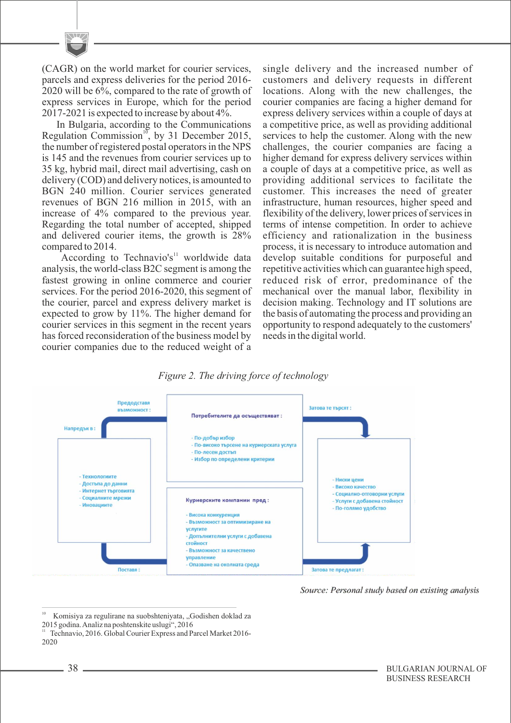(CAGR) on the world market for courier services, parcels and express deliveries for the period 2016- 2020 will be 6%, compared to the rate of growth of express services in Europe, which for the period 2017-2021 is expected to increase by about 4%.

In Bulgaria, according to the Communications Regulation Commission<sup>10</sup>, by 31 December 2015, the number of registered postal operators in the NPS is 145 and the revenues from courier services up to 35 kg, hybrid mail, direct mail advertising, cash on delivery (COD) and delivery notices, is amounted to BGN 240 million. Courier services generated revenues of BGN 216 million in 2015, with an increase of 4% compared to the previous year. Regarding the total number of accepted, shipped and delivered courier items, the growth is 28% compared to 2014.

According to Technavio's<sup> $11$ </sup> worldwide data analysis, the world-class B2C segment is among the fastest growing in online commerce and courier services. For the period 2016-2020, this segment of the courier, parcel and express delivery market is expected to grow by 11%. The higher demand for courier services in this segment in the recent years has forced reconsideration of the business model by courier companies due to the reduced weight of a single delivery and the increased number of customers and delivery requests in different locations. Along with the new challenges, the courier companies are facing a higher demand for express delivery services within a couple of days at a competitive price, as well as providing additional services to help the customer. Along with the new challenges, the courier companies are facing a higher demand for express delivery services within a couple of days at a competitive price, as well as providing additional services to facilitate the customer. This increases the need of greater infrastructure, human resources, higher speed and flexibility of the delivery, lower prices of services in terms of intense competition. In order to achieve efficiency and rationalization in the business process, it is necessary to introduce automation and develop suitable conditions for purposeful and repetitive activities which can guarantee high speed, reduced risk of error, predominance of the mechanical over the manual labor, flexibility in decision making. Technology and IT solutions are the basis of automating the process and providing an opportunity to respond adequately to the customers' needs in the digital world.

## *Figure 2. The driving force of technology*



Source: Personal study based on existing analysis

<sup>&</sup>lt;sup>10</sup> Komisiya za regulirane na suobshteniyata, "Godishen doklad za 2015 godina. Analiz na poshtenskite uslugi", 2016

Technavio, 2016. Global Courier Express and Parcel Market 2016-2020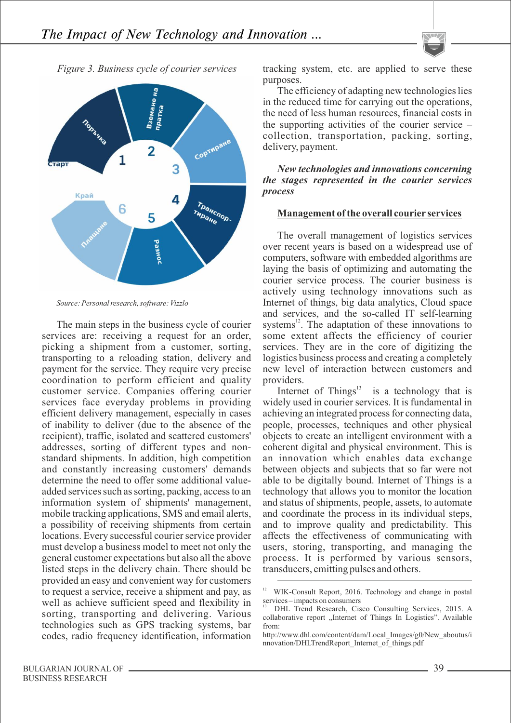



*Source: Personal research, software: Vizzlo*

The main steps in the business cycle of courier services are: receiving a request for an order, picking a shipment from a customer, sorting, transporting to a reloading station, delivery and payment for the service. They require very precise coordination to perform efficient and quality customer service. Companies offering courier services face everyday problems in providing efficient delivery management, especially in cases of inability to deliver (due to the absence of the recipient), traffic, isolated and scattered customers' addresses, sorting of different types and nonstandard shipments. In addition, high competition and constantly increasing customers' demands determine the need to offer some additional valueadded services such as sorting, packing, access to an information system of shipments' management, mobile tracking applications, SMS and email alerts, a possibility of receiving shipments from certain locations. Every successful courier service provider must develop a business model to meet not only the general customer expectations but also all the above listed steps in the delivery chain. There should be provided an easy and convenient way for customers to request a service, receive a shipment and pay, as well as achieve sufficient speed and flexibility in sorting, transporting and delivering. Various technologies such as GPS tracking systems, bar codes, radio frequency identification, information tracking system, etc. are applied to serve these purposes.

The efficiency of adapting new technologies lies in the reduced time for carrying out the operations, the need of less human resources, financial costs in the supporting activities of the courier service – collection, transportation, packing, sorting, delivery, payment.

#### *New technologies and innovations concerning the stages represented in the courier services process*

#### **Management of the overall courier services**

The overall management of logistics services over recent years is based on a widespread use of computers, software with embedded algorithms are laying the basis of optimizing and automating the courier service process. The courier business is actively using technology innovations such as Internet of things, big data analytics, Cloud space and services, and the so-called IT self-learning systems $^{12}$ . The adaptation of these innovations to some extent affects the efficiency of courier services. They are in the core of digitizing the logistics business process and creating a completely new level of interaction between customers and providers.

Internet of Things $\lambda$  is a technology that is widely used in courier services. It is fundamental in achieving an integrated process for connecting data, people, processes, techniques and other physical objects to create an intelligent environment with a coherent digital and physical environment. This is an innovation which enables data exchange between objects and subjects that so far were not able to be digitally bound. Internet of Things is a technology that allows you to monitor the location and status of shipments, people, assets, to automate and coordinate the process in its individual steps, and to improve quality and predictability. This affects the effectiveness of communicating with users, storing, transporting, and managing the process. It is performed by various sensors, transducers, emitting pulses and others.

<sup>&</sup>lt;sup>12</sup> WIK-Consult Report, 2016. Technology and change in postal services – impacts on consumers

<sup>13</sup> DHL Trend Research, Cisco Consulting Services, 2015. A collaborative report "Internet of Things In Logistics". Available from:

http://www.dhl.com/content/dam/Local\_Images/g0/New\_aboutus/i nnovation/DHLTrendReport\_Internet\_of\_things.pdf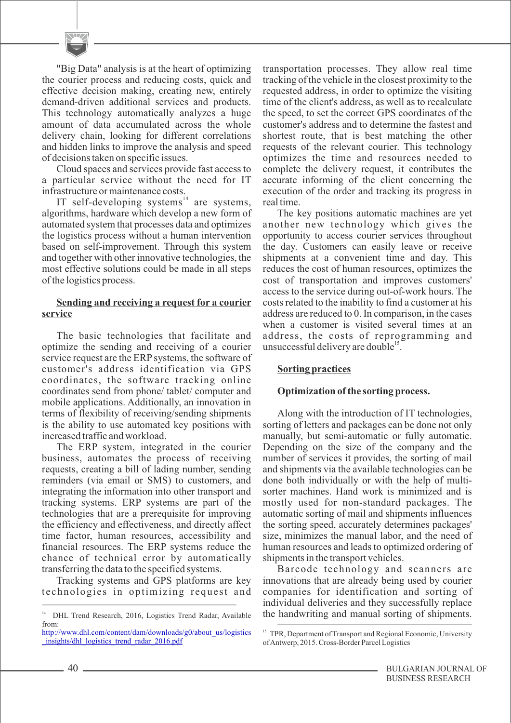"Big Data" analysis is at the heart of optimizing the courier process and reducing costs, quick and effective decision making, creating new, entirely demand-driven additional services and products. This technology automatically analyzes a huge amount of data accumulated across the whole delivery chain, looking for different correlations and hidden links to improve the analysis and speed of decisions taken on specific issues.

Cloud spaces and services provide fast access to a particular service without the need for IT infrastructure or maintenance costs.

IT self-developing systems<sup>14</sup> are systems, algorithms, hardware which develop a new form of automated system that processes data and optimizes the logistics process without a human intervention based on self-improvement. Through this system and together with other innovative technologies, the most effective solutions could be made in all steps of the logistics process.

#### **Sending and receiving a request for a courier service**

The basic technologies that facilitate and optimize the sending and receiving of a courier service request are the ERP systems, the software of customer's address identification via GPS coordinates, the software tracking online coordinates send from phone/ tablet/ computer and mobile applications. Additionally, an innovation in terms of flexibility of receiving/sending shipments is the ability to use automated key positions with increased traffic and workload.

The ERP system, integrated in the courier business, automates the process of receiving requests, creating a bill of lading number, sending reminders (via email or SMS) to customers, and integrating the information into other transport and tracking systems. ERP systems are part of the technologies that are a prerequisite for improving the efficiency and effectiveness, and directly affect time factor, human resources, accessibility and financial resources. The ERP systems reduce the chance of technical error by automatically transferring the data to the specified systems.

Tracking systems and GPS platforms are key te chnologies in optimizing request and transportation processes. They allow real time tracking of the vehicle in the closest proximity to the requested address, in order to optimize the visiting time of the client's address, as well as to recalculate the speed, to set the correct GPS coordinates of the customer's address and to determine the fastest and shortest route, that is best matching the other requests of the relevant courier. This technology optimizes the time and resources needed to complete the delivery request, it contributes the accurate informing of the client concerning the execution of the order and tracking its progress in real time.

The key positions automatic machines are yet another new technology which gives the opportunity to access courier services throughout the day. Customers can easily leave or receive shipments at a convenient time and day. This reduces the cost of human resources, optimizes the cost of transportation and improves customers' access to the service during out-of-work hours. The costs related to the inability to find a customer at his address are reduced to 0. In comparison, in the cases when a customer is visited several times at an address, the costs of reprogramming and unsuccessful delivery are double  $\cdot$ .

## **Sorting practices**

## **Optimization of the sorting process.**

Along with the introduction of IT technologies, sorting of letters and packages can be done not only manually, but semi-automatic or fully automatic. Depending on the size of the company and the number of services it provides, the sorting of mail and shipments via the available technologies can be done both individually or with the help of multisorter machines. Hand work is minimized and is mostly used for non-standard packages. The automatic sorting of mail and shipments influences the sorting speed, accurately determines packages' size, minimizes the manual labor, and the need of human resources and leads to optimized ordering of shipments in the transport vehicles.

Barcode technology and scanners are innovations that are already being used by courier companies for identification and sorting of individual deliveries and they successfully replace <sup>14</sup> DHL Trend Research, 2016, Logistics Trend Radar, Available the handwriting and manual sorting of shipments.

from:

[http://www.dhl.com/content/dam/downloads/g0/about\\_us/logistics](http://www.dhl.com/content/dam/downloads/g0/about_us/logistics_insights/dhl_logistics_trend_radar_2016.pdf) [\\_insights/dhl\\_logistics\\_trend\\_radar\\_2016.pdf](http://www.dhl.com/content/dam/downloads/g0/about_us/logistics_insights/dhl_logistics_trend_radar_2016.pdf)

<sup>&</sup>lt;sup>15</sup> TPR, Department of Transport and Regional Economic, University of Antwerp, 2015. Cross-Border Parcel Logistics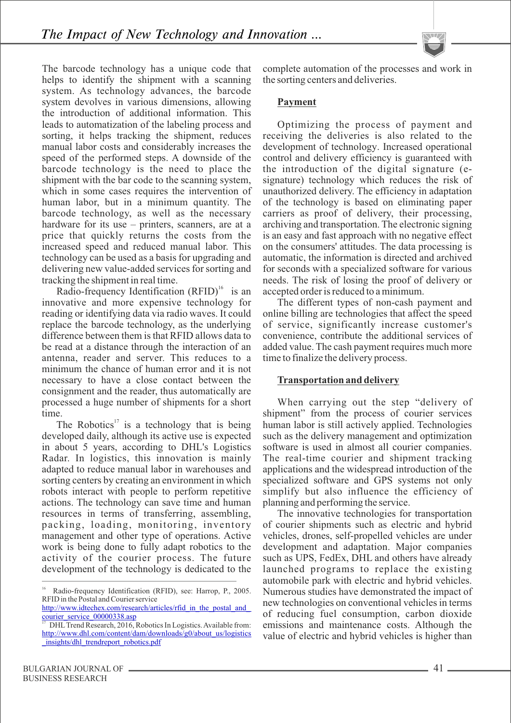The barcode technology has a unique code that helps to identify the shipment with a scanning system. As technology advances, the barcode system devolves in various dimensions, allowing the introduction of additional information. This leads to automatization of the labeling process and sorting, it helps tracking the shipment, reduces manual labor costs and considerably increases the speed of the performed steps. A downside of the barcode technology is the need to place the shipment with the bar code to the scanning system, which in some cases requires the intervention of human labor, but in a minimum quantity. The barcode technology, as well as the necessary hardware for its use – printers, scanners, are at a price that quickly returns the costs from the increased speed and reduced manual labor. This technology can be used as a basis for upgrading and delivering new value-added services for sorting and tracking the shipment in real time.

Radio-frequency Identification  $(RFID)$ <sup>16</sup> is an innovative and more expensive technology for reading or identifying data via radio waves. It could replace the barcode technology, as the underlying difference between them is that RFID allows data to be read at a distance through the interaction of an antenna, reader and server. This reduces to a minimum the chance of human error and it is not necessary to have a close contact between the consignment and the reader, thus automatically are processed a huge number of shipments for a short time.

The Robotics<sup>17</sup> is a technology that is being developed daily, although its active use is expected in about 5 years, according to DHL's Logistics Radar. In logistics, this innovation is mainly adapted to reduce manual labor in warehouses and sorting centers by creating an environment in which robots interact with people to perform repetitive actions. The technology can save time and human resources in terms of transferring, assembling, packing, loading, monitoring, inventory management and other type of operations. Active work is being done to fully adapt robotics to the activity of the courier process. The future development of the technology is dedicated to the

complete automation of the processes and work in the sorting centers and deliveries.

#### **Payment**

Optimizing the process of payment and receiving the deliveries is also related to the development of technology. Increased operational control and delivery efficiency is guaranteed with the introduction of the digital signature (esignature) technology which reduces the risk of unauthorized delivery. The efficiency in adaptation of the technology is based on eliminating paper carriers as proof of delivery, their processing, archiving and transportation. The electronic signing is an easy and fast approach with no negative effect on the consumers' attitudes. The data processing is automatic, the information is directed and archived for seconds with a specialized software for various needs. The risk of losing the proof of delivery or accepted order is reduced to a minimum.

The different types of non-cash payment and online billing are technologies that affect the speed of service, significantly increase customer's convenience, contribute the additional services of added value. The cash payment requires much more time to finalize the delivery process.

# **Transportation and delivery**

When carrying out the step "delivery of shipment" from the process of courier services human labor is still actively applied. Technologies such as the delivery management and optimization software is used in almost all courier companies. The real-time courier and shipment tracking applications and the widespread introduction of the specialized software and GPS systems not only simplify but also influence the efficiency of planning and performing the service.

The innovative technologies for transportation of courier shipments such as electric and hybrid vehicles, drones, self-propelled vehicles are under development and adaptation. Major companies such as UPS, FedEx, DHL and others have already launched programs to replace the existing automobile park with electric and hybrid vehicles. Numerous studies have demonstrated the impact of new technologies on conventional vehicles in terms of reducing fuel consumption, carbon dioxide emissions and maintenance costs. Although the value of electric and hybrid vehicles is higher than

<sup>&</sup>lt;sup>16</sup> Radio-frequency Identification (RFID), see: Harrop, P., 2005. RFID in the Postal and Courier service

http://www.idtechex.com/research/articles/rfid\_in\_the\_postal\_and [courier\\_service\\_00000338.asp](http://www.idtechex.com/research/articles/rfid_in_the_postal_and_courier_service_00000338.asp)

DHL Trend Research, 2016, Robotics In Logistics. Available from: [http://www.dhl.com/content/dam/downloads/g0/about\\_us/logistics](http://www.dhl.com/content/dam/downloads/g0/about_us/logistics_insights/dhl_trendreport_robotics.pdf) [\\_insights/dhl\\_trendreport\\_robotics.pdf](http://www.dhl.com/content/dam/downloads/g0/about_us/logistics_insights/dhl_trendreport_robotics.pdf)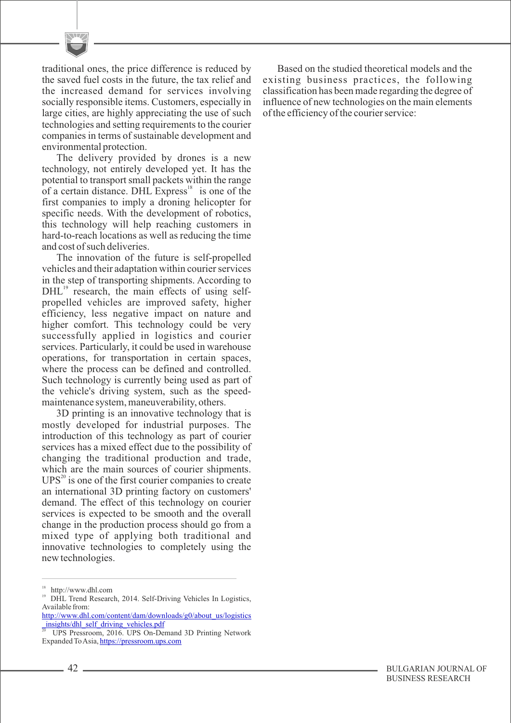traditional ones, the price difference is reduced by the saved fuel costs in the future, the tax relief and the increased demand for services involving socially responsible items. Customers, especially in large cities, are highly appreciating the use of such technologies and setting requirements to the courier companies in terms of sustainable development and environmental protection.

The delivery provided by drones is a new technology, not entirely developed yet. It has the potential to transport small packets within the range of a certain distance. DHL Express $\frac{18}{18}$  is one of the first companies to imply a droning helicopter for specific needs. With the development of robotics, this technology will help reaching customers in hard-to-reach locations as well as reducing the time and cost of such deliveries.

The innovation of the future is self-propelled vehicles and their adaptation within courier services in the step of transporting shipments. According to  $DHL$ <sup>19</sup> research, the main effects of using selfpropelled vehicles are improved safety, higher efficiency, less negative impact on nature and higher comfort. This technology could be very successfully applied in logistics and courier services. Particularly, it could be used in warehouse operations, for transportation in certain spaces, where the process can be defined and controlled. Such technology is currently being used as part of the vehicle's driving system, such as the speedmaintenance system, maneuverability, others.

3D printing is an innovative technology that is mostly developed for industrial purposes. The introduction of this technology as part of courier services has a mixed effect due to the possibility of changing the traditional production and trade, which are the main sources of courier shipments.  $UPS<sup>20</sup>$  is one of the first courier companies to create an international 3D printing factory on customers' demand. The effect of this technology on courier services is expected to be smooth and the overall change in the production process should go from a mixed type of applying both traditional and innovative technologies to completely using the new technologies.

Based on the studied theoretical models and the existing business practices, the following classification has been made regarding the degree of influence of new technologies on the main elements of the efficiency of the courier service:

<sup>18</sup> http://www.dhl.com

<sup>19</sup>DHL Trend Research, 2014. Self-Driving Vehicles In Logistics, Available from:

[http://www.dhl.com/content/dam/downloads/g0/about\\_us/logistics](http://www.dhl.com/content/dam/downloads/g0/about_us/logistics_insights/dhl_self_driving_vehicles.pdf) [\\_insights/dhl\\_self\\_driving\\_vehicles.pdf](http://www.dhl.com/content/dam/downloads/g0/about_us/logistics_insights/dhl_self_driving_vehicles.pdf)

<sup>20</sup>UPS Pressroom, 2016. UPS On-Demand 3D Printing Network Expanded To Asia,<https://pressroom.ups.com>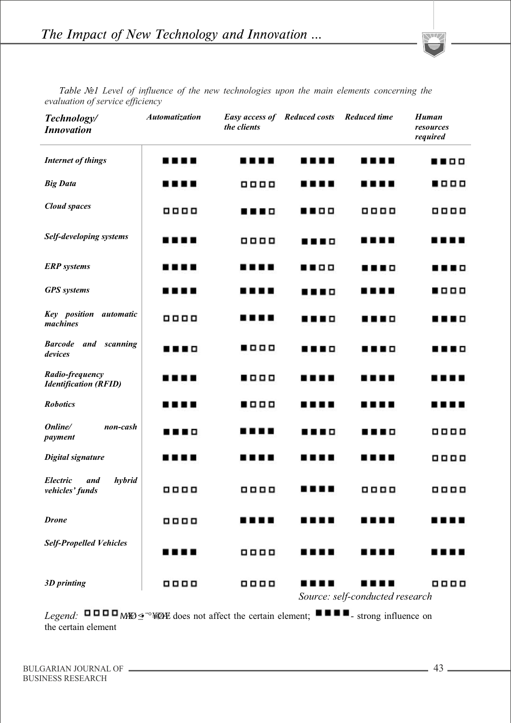

| Technology/<br><b>Innovation</b>                | Automatization | <b>Easy access of Reduced costs</b><br>the clients |   | <b>Reduced time</b>             | Human<br>resources<br>required |
|-------------------------------------------------|----------------|----------------------------------------------------|---|---------------------------------|--------------------------------|
| <b>Internet of things</b>                       | .              | .                                                  | . | .                               |                                |
| <b>Big Data</b>                                 | .              | 8888                                               | . | .                               | .                              |
| <b>Cloud</b> spaces                             | 8888           | .                                                  |   | 0000                            | 8888                           |
| Self-developing systems                         | .              | 8888                                               | . | .                               | .                              |
| <b>ERP</b> systems                              | .              | .                                                  |   | .                               | .                              |
| <b>GPS</b> systems                              |                | .                                                  | . | .                               | .                              |
| Key position automatic<br>machines              | <b>0000</b>    | .                                                  | . | .                               | .                              |
| <b>Barcode</b><br>and scanning<br>devices       |                | .                                                  | . | .                               | .                              |
| Radio-frequency<br><b>Identification (RFID)</b> | .              | .                                                  | . | .                               | ╻╻<br>. .                      |
| <b>Robotics</b>                                 | .              | .                                                  |   | .                               | .<br>. .                       |
| Online/<br>non-cash<br>payment                  | .              | .                                                  | . | .                               | 8888                           |
| <b>Digital signature</b>                        | .              | .                                                  |   | .                               | <b>0000</b>                    |
| Electric<br>hybrid<br>and<br>vehicles' funds    | <b>0000</b>    | <b>0000</b>                                        | . | 8888                            | 0000                           |
| <b>Drone</b>                                    | 8888           |                                                    |   | .                               |                                |
| <b>Self-Propelled Vehicles</b>                  | .              | 0000                                               |   | .                               |                                |
| 3D printing                                     | 8888           | 8888                                               |   | Source: self-conducted research | 8888                           |

*Table №1 Level of influence of the new technologies upon the main elements concerning the evaluation of service efficiency*

*Legend*: **UUUD** MEO≤<sup>•</sup><sup>∞</sup>¥ØÆ does not affect the certain element; ■■■<sub>- strong influence on</sub> the certain element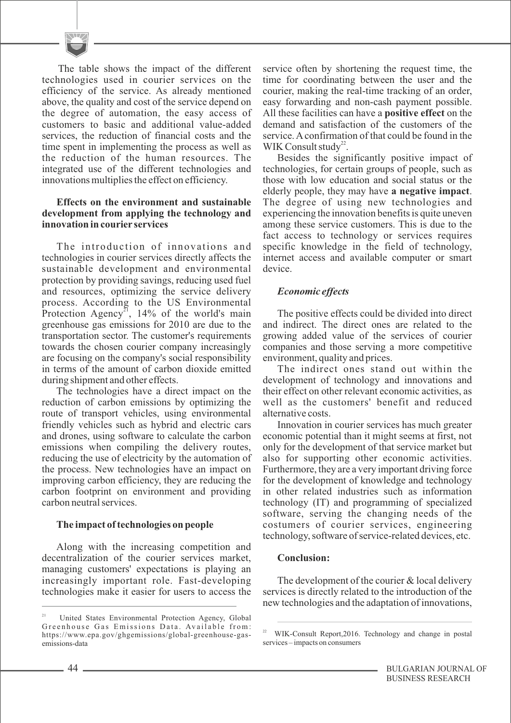The table shows the impact of the different technologies used in courier services on the efficiency of the service. As already mentioned above, the quality and cost of the service depend on the degree of automation, the easy access of customers to basic and additional value-added services, the reduction of financial costs and the time spent in implementing the process as well as the reduction of the human resources. The integrated use of the different technologies and innovations multiplies the effect on efficiency.

#### **Effects on the environment and sustainable development from applying the technology and innovation in courier services**

The introduction of innovations and technologies in courier services directly affects the sustainable development and environmental protection by providing savings, reducing used fuel and resources, optimizing the service delivery process. According to the US Environmental Protection Agency<sup>21</sup>, 14% of the world's main greenhouse gas emissions for 2010 are due to the transportation sector. The customer's requirements towards the chosen courier company increasingly are focusing on the company's social responsibility in terms of the amount of carbon dioxide emitted during shipment and other effects.

The technologies have a direct impact on the reduction of carbon emissions by optimizing the route of transport vehicles, using environmental friendly vehicles such as hybrid and electric cars and drones, using software to calculate the carbon emissions when compiling the delivery routes, reducing the use of electricity by the automation of the process. New technologies have an impact on improving carbon efficiency, they are reducing the carbon footprint on environment and providing carbon neutral services.

## **The impact of technologies on people**

Along with the increasing competition and decentralization of the courier services market, managing customers' expectations is playing an increasingly important role. Fast-developing technologies make it easier for users to access the service often by shortening the request time, the time for coordinating between the user and the courier, making the real-time tracking of an order, easy forwarding and non-cash payment possible. All these facilities can have a **positive effect** on the demand and satisfaction of the customers of the service. Aconfirmation of that could be found in the WIK Consult study<sup>22</sup>.

Besides the significantly positive impact of technologies, for certain groups of people, such as those with low education and social status or the elderly people, they may have **a negative impact**. The degree of using new technologies and experiencing the innovation benefits is quite uneven among these service customers. This is due to the fact access to technology or services requires specific knowledge in the field of technology, internet access and available computer or smart device.

## *Economic effects*

The positive effects could be divided into direct and indirect. The direct ones are related to the growing added value of the services of courier companies and those serving a more competitive environment, quality and prices.

The indirect ones stand out within the development of technology and innovations and their effect on other relevant economic activities, as well as the customers' benefit and reduced alternative costs.

Innovation in courier services has much greater economic potential than it might seems at first, not only for the development of that service market but also for supporting other economic activities. Furthermore, they are a very important driving force for the development of knowledge and technology in other related industries such as information technology (IT) and programming of specialized software, serving the changing needs of the costumers of courier services, engineering technology, software of service-related devices, etc.

## **Conclusion:**

The development of the courier & local delivery services is directly related to the introduction of the new technologies and the adaptation of innovations,

United States Environmental Protection Agency, Global Greenhouse Gas Emissions Data. Available from: https://www.epa.gov/ghgemissions/global-greenhouse-gasemissions-data

<sup>&</sup>lt;sup>22</sup> WIK-Consult Report, 2016. Technology and change in postal services – impacts on consumers